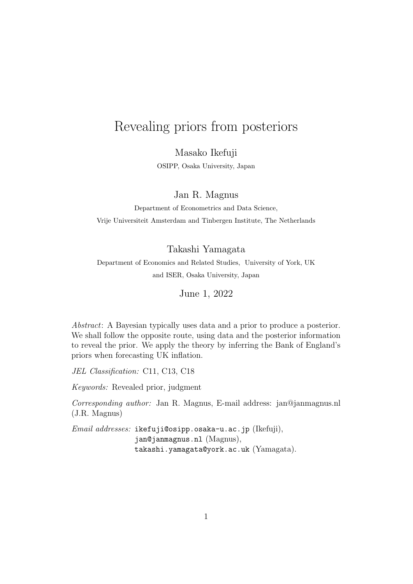# Revealing priors from posteriors

Masako Ikefuji

OSIPP, Osaka University, Japan

Jan R. Magnus

Department of Econometrics and Data Science, Vrije Universiteit Amsterdam and Tinbergen Institute, The Netherlands

Takashi Yamagata

Department of Economics and Related Studies, University of York, UK and ISER, Osaka University, Japan

June 1, 2022

*Abstract*: A Bayesian typically uses data and a prior to produce a posterior. We shall follow the opposite route, using data and the posterior information to reveal the prior. We apply the theory by inferring the Bank of England's priors when forecasting UK inflation.

*JEL Classification:* C11, C13, C18

*Keywords:* Revealed prior, judgment

*Corresponding author:* Jan R. Magnus, E-mail address: jan@janmagnus.nl (J.R. Magnus)

*Email addresses:* ikefuji@osipp.osaka-u.ac.jp (Ikefuji), jan@janmagnus.nl (Magnus), takashi.yamagata@york.ac.uk (Yamagata).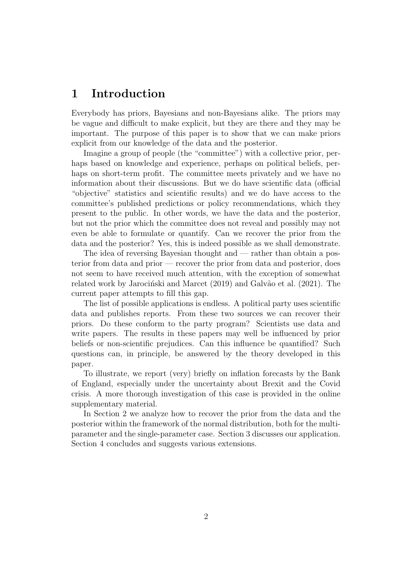# **1 Introduction**

Everybody has priors, Bayesians and non-Bayesians alike. The priors may be vague and difficult to make explicit, but they are there and they may be important. The purpose of this paper is to show that we can make priors explicit from our knowledge of the data and the posterior.

Imagine a group of people (the "committee") with a collective prior, perhaps based on knowledge and experience, perhaps on political beliefs, perhaps on short-term profit. The committee meets privately and we have no information about their discussions. But we do have scientific data (official "objective" statistics and scientific results) and we do have access to the committee's published predictions or policy recommendations, which they present to the public. In other words, we have the data and the posterior, but not the prior which the committee does not reveal and possibly may not even be able to formulate or quantify. Can we recover the prior from the data and the posterior? Yes, this is indeed possible as we shall demonstrate.

The idea of reversing Bayesian thought and — rather than obtain a posterior from data and prior — recover the prior from data and posterior, does not seem to have received much attention, with the exception of somewhat related work by Jarociński and Marcet (2019) and Galvão et al. (2021). The current paper attempts to fill this gap.

The list of possible applications is endless. A political party uses scientific data and publishes reports. From these two sources we can recover their priors. Do these conform to the party program? Scientists use data and write papers. The results in these papers may well be influenced by prior beliefs or non-scientific prejudices. Can this influence be quantified? Such questions can, in principle, be answered by the theory developed in this paper.

To illustrate, we report (very) briefly on inflation forecasts by the Bank of England, especially under the uncertainty about Brexit and the Covid crisis. A more thorough investigation of this case is provided in the online supplementary material.

In Section 2 we analyze how to recover the prior from the data and the posterior within the framework of the normal distribution, both for the multiparameter and the single-parameter case. Section 3 discusses our application. Section 4 concludes and suggests various extensions.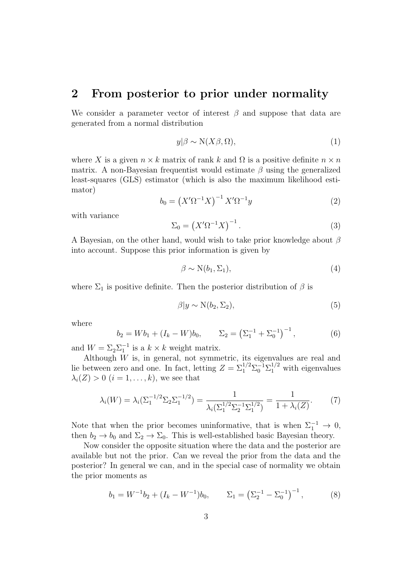### **2 From posterior to prior under normality**

We consider a parameter vector of interest  $\beta$  and suppose that data are generated from a normal distribution

$$
y|\beta \sim \mathcal{N}(X\beta,\Omega),\tag{1}
$$

where X is a given  $n \times k$  matrix of rank k and  $\Omega$  is a positive definite  $n \times n$ matrix. A non-Bayesian frequentist would estimate  $\beta$  using the generalized least-squares (GLS) estimator (which is also the maximum likelihood estimator)

$$
b_0 = (X'\Omega^{-1}X)^{-1}X'\Omega^{-1}y
$$
 (2)

with variance

$$
\Sigma_0 = \left(X'\Omega^{-1}X\right)^{-1}.\tag{3}
$$

A Bayesian, on the other hand, would wish to take prior knowledge about *β* into account. Suppose this prior information is given by

$$
\beta \sim \mathcal{N}(b_1, \Sigma_1),\tag{4}
$$

where  $\Sigma_1$  is positive definite. Then the posterior distribution of  $\beta$  is

$$
\beta|y \sim \mathcal{N}(b_2, \Sigma_2),\tag{5}
$$

where

$$
b_2 = Wb_1 + (I_k - W)b_0, \qquad \Sigma_2 = \left(\Sigma_1^{-1} + \Sigma_0^{-1}\right)^{-1}, \tag{6}
$$

and  $W = \Sigma_2 \Sigma_1^{-1}$  is a  $k \times k$  weight matrix.

Although *W* is, in general, not symmetric, its eigenvalues are real and lie between zero and one. In fact, letting  $Z = \sum_{1}^{1/2} \sum_{0}^{-1} \sum_{1}^{1/2}$  with eigenvalues  $\lambda_i(Z) > 0$   $(i = 1, \ldots, k)$ , we see that

$$
\lambda_i(W) = \lambda_i(\Sigma_1^{-1/2} \Sigma_2 \Sigma_1^{-1/2}) = \frac{1}{\lambda_i(\Sigma_1^{1/2} \Sigma_2^{-1} \Sigma_1^{1/2})} = \frac{1}{1 + \lambda_i(Z)}.
$$
 (7)

Note that when the prior becomes uninformative, that is when  $\Sigma_1^{-1} \to 0$ , then  $b_2 \rightarrow b_0$  and  $\Sigma_2 \rightarrow \Sigma_0$ . This is well-established basic Bayesian theory.

Now consider the opposite situation where the data and the posterior are available but not the prior. Can we reveal the prior from the data and the posterior? In general we can, and in the special case of normality we obtain the prior moments as

$$
b_1 = W^{-1}b_2 + (I_k - W^{-1})b_0, \qquad \Sigma_1 = \left(\Sigma_2^{-1} - \Sigma_0^{-1}\right)^{-1}, \tag{8}
$$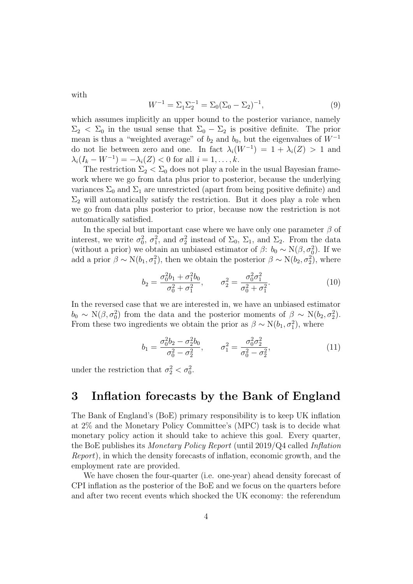with

$$
W^{-1} = \Sigma_1 \Sigma_2^{-1} = \Sigma_0 (\Sigma_0 - \Sigma_2)^{-1}, \tag{9}
$$

which assumes implicitly an upper bound to the posterior variance, namely  $\Sigma_2 < \Sigma_0$  in the usual sense that  $\Sigma_0 - \Sigma_2$  is positive definite. The prior mean is thus a "weighted average" of  $b_2$  and  $b_0$ , but the eigenvalues of  $W^{-1}$ do not lie between zero and one. In fact  $\lambda_i(W^{-1}) = 1 + \lambda_i(Z) > 1$  and  $\lambda_i(I_k - W^{-1}) = -\lambda_i(Z) < 0$  for all  $i = 1, ..., k$ .

The restriction  $\Sigma_2 < \Sigma_0$  does not play a role in the usual Bayesian framework where we go from data plus prior to posterior, because the underlying variances  $\Sigma_0$  and  $\Sigma_1$  are unrestricted (apart from being positive definite) and  $\Sigma_2$  will automatically satisfy the restriction. But it does play a role when we go from data plus posterior to prior, because now the restriction is not automatically satisfied.

In the special but important case where we have only one parameter  $\beta$  of interest, we write  $\sigma_0^2$ ,  $\sigma_1^2$ , and  $\sigma_2^2$  instead of  $\Sigma_0$ ,  $\Sigma_1$ , and  $\Sigma_2$ . From the data (without a prior) we obtain an unbiased estimator of  $\beta$ :  $b_0 \sim N(\beta, \sigma_0^2)$ . If we add a prior  $\beta \sim N(b_1, \sigma_1^2)$ , then we obtain the posterior  $\beta \sim N(b_2, \sigma_2^2)$ , where

$$
b_2 = \frac{\sigma_0^2 b_1 + \sigma_1^2 b_0}{\sigma_0^2 + \sigma_1^2}, \qquad \sigma_2^2 = \frac{\sigma_0^2 \sigma_1^2}{\sigma_0^2 + \sigma_1^2}.
$$
 (10)

In the reversed case that we are interested in, we have an unbiased estimator  $b_0 \sim N(\beta, \sigma_0^2)$  from the data and the posterior moments of  $\beta \sim N(b_2, \sigma_2^2)$ . From these two ingredients we obtain the prior as  $\beta \sim N(b_1, \sigma_1^2)$ , where

$$
b_1 = \frac{\sigma_0^2 b_2 - \sigma_2^2 b_0}{\sigma_0^2 - \sigma_2^2}, \qquad \sigma_1^2 = \frac{\sigma_0^2 \sigma_2^2}{\sigma_0^2 - \sigma_2^2}, \tag{11}
$$

under the restriction that  $\sigma_2^2 < \sigma_0^2$ .

### **3 Inflation forecasts by the Bank of England**

The Bank of England's (BoE) primary responsibility is to keep UK inflation at 2% and the Monetary Policy Committee's (MPC) task is to decide what monetary policy action it should take to achieve this goal. Every quarter, the BoE publishes its *Monetary Policy Report* (until 2019/Q4 called *Inflation Report*), in which the density forecasts of inflation, economic growth, and the employment rate are provided.

We have chosen the four-quarter (i.e. one-year) ahead density forecast of CPI inflation as the posterior of the BoE and we focus on the quarters before and after two recent events which shocked the UK economy: the referendum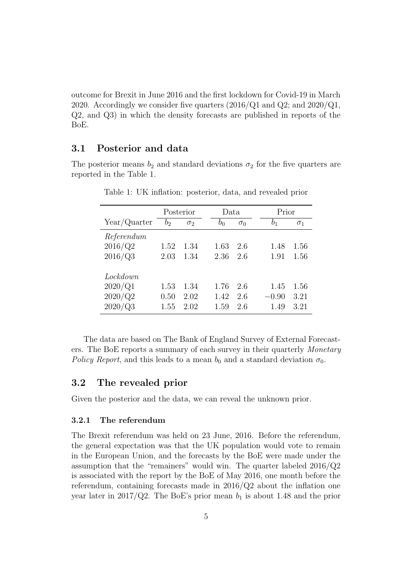outcome for Brexit in June 2016 and the first lockdown for Covid-19 in March 2020. Accordingly we consider five quarters  $(2016/Q1)$  and  $Q2$ ; and  $2020/Q1$ , Q2, and Q3) in which the density forecasts are published in reports of the BoE.

### **3.1 Posterior and data**

The posterior means  $b_2$  and standard deviations  $\sigma_2$  for the five quarters are reported in the Table 1.

|              | Posterior      |            | Data |       | Prior      |         |            |
|--------------|----------------|------------|------|-------|------------|---------|------------|
| Year/Quarter | b <sub>2</sub> | $\sigma_2$ |      | $b_0$ | $\sigma_0$ | $b_1$   | $\sigma_1$ |
| Referendum   |                |            |      |       |            |         |            |
| 2016/Q2      | 1.52           | 1.34       |      | 1.63  | 2.6        | 1.48    | 1.56       |
| 2016/Q3      | 2.03           | 1.34       |      | 2.36  | 2.6        | 1.91    | 1.56       |
|              |                |            |      |       |            |         |            |
| Lockdown.    |                |            |      |       |            |         |            |
| 2020/Q1      | 1.53           | 1.34       |      | 1.76  | 26         | 1.45    | 1.56       |
| 2020/Q2      | 0.50           | 2.02       |      | 1.42  | 2.6        | $-0.90$ | 3.21       |
| 2020/Q3      | 1.55           | 2.02       |      | 1.59  | 2.6        | 1.49    | 3.21       |

Table 1: UK inflation: posterior, data, and revealed prior

The data are based on The Bank of England Survey of External Forecasters. The BoE reports a summary of each survey in their quarterly *Monetary Policy Report*, and this leads to a mean  $b_0$  and a standard deviation  $\sigma_0$ .

### **3.2 The revealed prior**

Given the posterior and the data, we can reveal the unknown prior.

#### **3.2.1 The referendum**

The Brexit referendum was held on 23 June, 2016. Before the referendum, the general expectation was that the UK population would vote to remain in the European Union, and the forecasts by the BoE were made under the assumption that the "remainers" would win. The quarter labeled 2016/Q2 is associated with the report by the BoE of May 2016, one month before the referendum, containing forecasts made in 2016/Q2 about the inflation one year later in 2017/Q2. The BoE's prior mean  $b_1$  is about 1.48 and the prior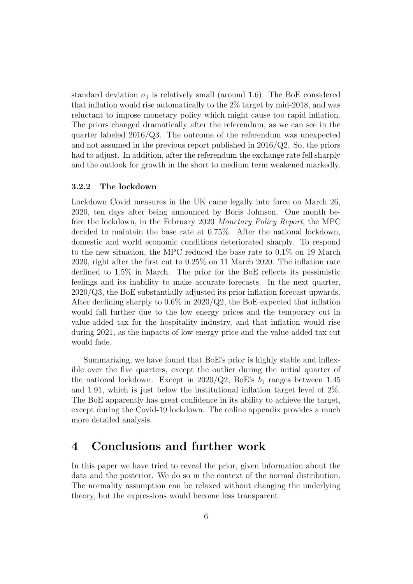standard deviation  $\sigma_1$  is relatively small (around 1.6). The BoE considered that inflation would rise automatically to the 2% target by mid-2018, and was reluctant to impose monetary policy which might cause too rapid inflation. The priors changed dramatically after the referendum, as we can see in the quarter labeled 2016/Q3. The outcome of the referendum was unexpected and not assumed in the previous report published in 2016/Q2. So, the priors had to adjust. In addition, after the referendum the exchange rate fell sharply and the outlook for growth in the short to medium term weakened markedly.

#### **3.2.2 The lockdown**

Lockdown Covid measures in the UK came legally into force on March 26, 2020, ten days after being announced by Boris Johnson. One month before the lockdown, in the February 2020 *Monetary Policy Report*, the MPC decided to maintain the base rate at 0.75%. After the national lockdown, domestic and world economic conditions deteriorated sharply. To respond to the new situation, the MPC reduced the base rate to 0.1% on 19 March 2020, right after the first cut to 0.25% on 11 March 2020. The inflation rate declined to 1.5% in March. The prior for the BoE reflects its pessimistic feelings and its inability to make accurate forecasts. In the next quarter, 2020/Q3, the BoE substantially adjusted its prior inflation forecast upwards. After declining sharply to  $0.6\%$  in  $2020/Q2$ , the BoE expected that inflation would fall further due to the low energy prices and the temporary cut in value-added tax for the hospitality industry, and that inflation would rise during 2021, as the impacts of low energy price and the value-added tax cut would fade.

Summarizing, we have found that BoE's prior is highly stable and inflexible over the five quarters, except the outlier during the initial quarter of the national lockdown. Except in  $2020/Q2$ , BoE's  $b_1$  ranges between 1.45 and 1.91, which is just below the institutional inflation target level of 2%. The BoE apparently has great confidence in its ability to achieve the target, except during the Covid-19 lockdown. The online appendix provides a much more detailed analysis.

### **4 Conclusions and further work**

In this paper we have tried to reveal the prior, given information about the data and the posterior. We do so in the context of the normal distribution. The normality assumption can be relaxed without changing the underlying theory, but the expressions would become less transparent.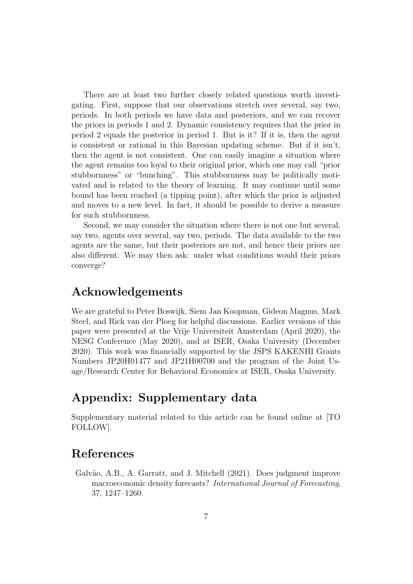There are at least two further closely related questions worth investigating. First, suppose that our observations stretch over several, say two, periods. In both periods we have data and posteriors, and we can recover the priors in periods 1 and 2. Dynamic consistency requires that the prior in period 2 equals the posterior in period 1. But is it? If it is, then the agent is consistent or rational in this Bayesian updating scheme. But if it isn't, then the agent is not consistent. One can easily imagine a situation where the agent remains too loyal to their original prior, which one may call "prior stubbornness" or "bunching". This stubbornness may be politically motivated and is related to the theory of learning. It may continue until some bound has been reached (a tipping point), after which the prior is adjusted and moves to a new level. In fact, it should be possible to derive a measure for such stubbornness.

Second, we may consider the situation where there is not one but several, say two, agents over several, say two, periods. The data available to the two agents are the same, but their posteriors are not, and hence their priors are also different. We may then ask: under what conditions would their priors converge?

### **Acknowledgements**

We are grateful to Peter Boswijk, Siem Jan Koopman, Gideon Magnus, Mark Steel, and Rick van der Ploeg for helpful discussions. Earlier versions of this paper were presented at the Vrije Universiteit Amsterdam (April 2020), the NESG Conference (May 2020), and at ISER, Osaka University (December 2020). This work was financially supported by the JSPS KAKENHI Grants Numbers JP20H01477 and JP21H00700 and the program of the Joint Usage/Research Center for Behavioral Economics at ISER, Osaka University.

## **Appendix: Supplementary data**

Supplementary material related to this article can be found online at [TO FOLLOW].

## **References**

Galvão, A.B., A. Garratt, and J. Mitchell (2021). Does judgment improve macroeconomic density forecasts? *International Journal of Forecasting*, 37, 1247–1260.